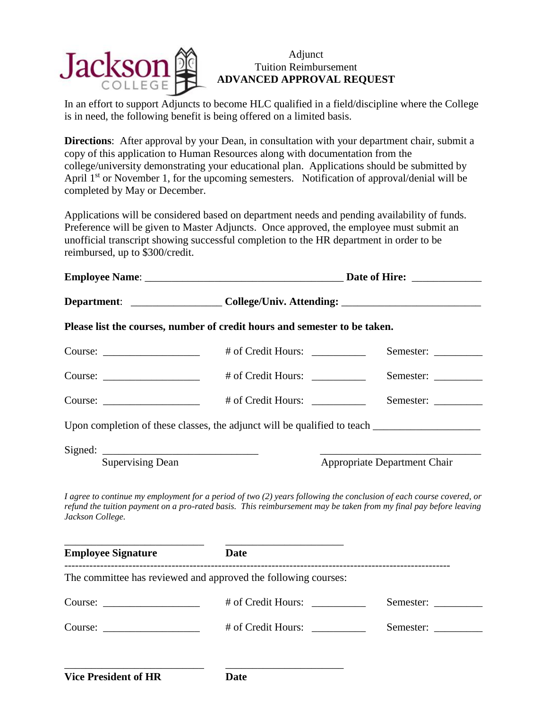

## Adjunct Tuition Reimbursement **ADVANCED APPROVAL REQUEST**

In an effort to support Adjuncts to become HLC qualified in a field/discipline where the College is in need, the following benefit is being offered on a limited basis.

**Directions**: After approval by your Dean, in consultation with your department chair, submit a copy of this application to Human Resources along with documentation from the college/university demonstrating your educational plan. Applications should be submitted by April  $1<sup>st</sup>$  or November 1, for the upcoming semesters. Notification of approval/denial will be completed by May or December.

Applications will be considered based on department needs and pending availability of funds. Preference will be given to Master Adjuncts. Once approved, the employee must submit an unofficial transcript showing successful completion to the HR department in order to be reimbursed, up to \$300/credit.

|                             | Department: _____________________College/Univ. Attending: _______________________                                                                                                                                                        |                              |
|-----------------------------|------------------------------------------------------------------------------------------------------------------------------------------------------------------------------------------------------------------------------------------|------------------------------|
|                             |                                                                                                                                                                                                                                          |                              |
|                             | Please list the courses, number of credit hours and semester to be taken.                                                                                                                                                                |                              |
| $Course: \_\_$              | # of Credit Hours: __________                                                                                                                                                                                                            | Semester:                    |
| Course:                     |                                                                                                                                                                                                                                          | Semester:                    |
| $Course: \_\_$              |                                                                                                                                                                                                                                          | Semester:                    |
|                             |                                                                                                                                                                                                                                          |                              |
| <b>Supervising Dean</b>     |                                                                                                                                                                                                                                          | Appropriate Department Chair |
| Jackson College.            | I agree to continue my employment for a period of two (2) years following the conclusion of each course covered, or<br>refund the tuition payment on a pro-rated basis. This reimbursement may be taken from my final pay before leaving |                              |
| <b>Employee Signature</b>   | <b>Date</b>                                                                                                                                                                                                                              |                              |
| ---------------------       | The committee has reviewed and approved the following courses:                                                                                                                                                                           |                              |
| $Course: \_$                | # of Credit Hours: __________                                                                                                                                                                                                            | Semester:                    |
|                             | # of Credit Hours:                                                                                                                                                                                                                       | Semester:                    |
| <b>Vice President of HR</b> | <b>Date</b>                                                                                                                                                                                                                              |                              |